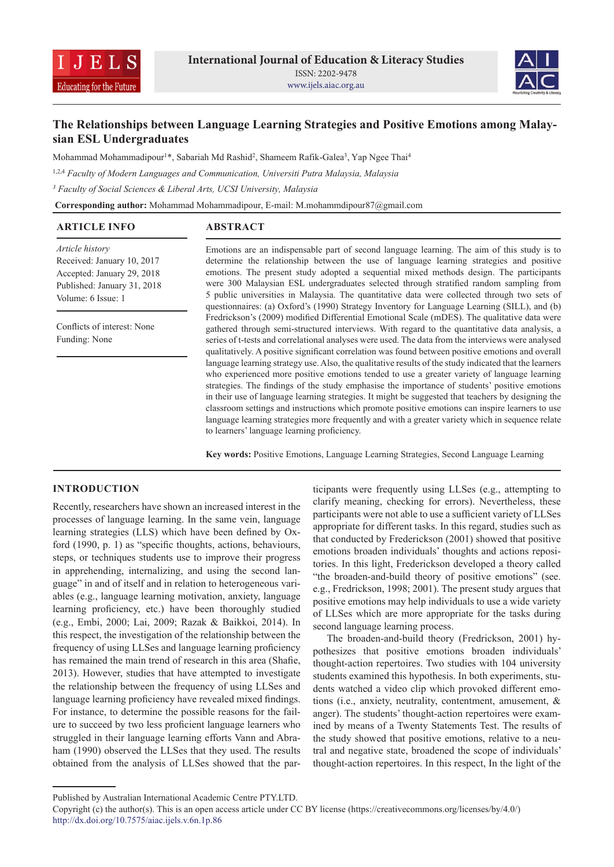



# **The Relationships between Language Learning Strategies and Positive Emotions among Malaysian ESL Undergraduates**

Mohammad Mohammadipour<sup>1\*</sup>, Sabariah Md Rashid<sup>2</sup>, Shameem Rafik-Galea<sup>3</sup>, Yap Ngee Thai<sup>4</sup>

1,2,4 *Faculty of Modern Languages and Communication, Universiti Putra Malaysia, Malaysia*

*3 Faculty of Social Sciences & Liberal Arts, UCSI University, Malaysia*

**Corresponding author:** Mohammad Mohammadipour, E-mail: M.mohammdipour87@gmail.com

| <b>ARTICLE INFO</b>                                                                                                              | <b>ABSTRACT</b>                                                                                                                                                                                                                                                                                                                                                                                                                                                                                                                                                                                                                                                                                                                                                                                                                                                                                                                                                                                                                                                                |
|----------------------------------------------------------------------------------------------------------------------------------|--------------------------------------------------------------------------------------------------------------------------------------------------------------------------------------------------------------------------------------------------------------------------------------------------------------------------------------------------------------------------------------------------------------------------------------------------------------------------------------------------------------------------------------------------------------------------------------------------------------------------------------------------------------------------------------------------------------------------------------------------------------------------------------------------------------------------------------------------------------------------------------------------------------------------------------------------------------------------------------------------------------------------------------------------------------------------------|
| Article history<br>Received: January 10, 2017<br>Accepted: January 29, 2018<br>Published: January 31, 2018<br>Volume: 6 Issue: 1 | Emotions are an indispensable part of second language learning. The aim of this study is to<br>determine the relationship between the use of language learning strategies and positive<br>emotions. The present study adopted a sequential mixed methods design. The participants<br>were 300 Malaysian ESL undergraduates selected through stratified random sampling from<br>5 public universities in Malaysia. The quantitative data were collected through two sets of<br>questionnaires: (a) Oxford's (1990) Strategy Inventory for Language Learning (SILL), and (b)                                                                                                                                                                                                                                                                                                                                                                                                                                                                                                     |
| Conflicts of interest: None<br>Funding: None                                                                                     | Fredrickson's (2009) modified Differential Emotional Scale (mDES). The qualitative data were<br>gathered through semi-structured interviews. With regard to the quantitative data analysis, a<br>series of t-tests and correlational analyses were used. The data from the interviews were analysed<br>qualitatively. A positive significant correlation was found between positive emotions and overall<br>language learning strategy use. Also, the qualitative results of the study indicated that the learners<br>who experienced more positive emotions tended to use a greater variety of language learning<br>strategies. The findings of the study emphasise the importance of students' positive emotions<br>in their use of language learning strategies. It might be suggested that teachers by designing the<br>classroom settings and instructions which promote positive emotions can inspire learners to use<br>language learning strategies more frequently and with a greater variety which in sequence relate<br>to learners' language learning proficiency. |

**Key words:** Positive Emotions, Language Learning Strategies, Second Language Learning

# **INTRODUCTION**

Recently, researchers have shown an increased interest in the processes of language learning. In the same vein, language learning strategies (LLS) which have been defined by Oxford (1990, p. 1) as "specific thoughts, actions, behaviours, steps, or techniques students use to improve their progress in apprehending, internalizing, and using the second language" in and of itself and in relation to heterogeneous variables (e.g., language learning motivation, anxiety, language learning proficiency, etc.) have been thoroughly studied (e.g., Embi, 2000; Lai, 2009; Razak & Baikkoi, 2014). In this respect, the investigation of the relationship between the frequency of using LLSes and language learning proficiency has remained the main trend of research in this area (Shafie, 2013). However, studies that have attempted to investigate the relationship between the frequency of using LLSes and language learning proficiency have revealed mixed findings. For instance, to determine the possible reasons for the failure to succeed by two less proficient language learners who struggled in their language learning efforts Vann and Abraham (1990) observed the LLSes that they used. The results obtained from the analysis of LLSes showed that the participants were frequently using LLSes (e.g., attempting to clarify meaning, checking for errors). Nevertheless, these participants were not able to use a sufficient variety of LLSes appropriate for different tasks. In this regard, studies such as that conducted by Frederickson (2001) showed that positive emotions broaden individuals' thoughts and actions repositories. In this light, Frederickson developed a theory called "the broaden-and-build theory of positive emotions" (see. e.g., Fredrickson, 1998; 2001). The present study argues that positive emotions may help individuals to use a wide variety of LLSes which are more appropriate for the tasks during second language learning process.

The broaden-and-build theory (Fredrickson, 2001) hypothesizes that positive emotions broaden individuals' thought-action repertoires. Two studies with 104 university students examined this hypothesis. In both experiments, students watched a video clip which provoked different emotions (i.e., anxiety, neutrality, contentment, amusement, & anger). The students' thought-action repertoires were examined by means of a Twenty Statements Test. The results of the study showed that positive emotions, relative to a neutral and negative state, broadened the scope of individuals' thought-action repertoires. In this respect, In the light of the

Published by Australian International Academic Centre PTY.LTD.

Copyright (c) the author(s). This is an open access article under CC BY license (https://creativecommons.org/licenses/by/4.0/) http://dx.doi.org/10.7575/aiac.ijels.v.6n.1p.86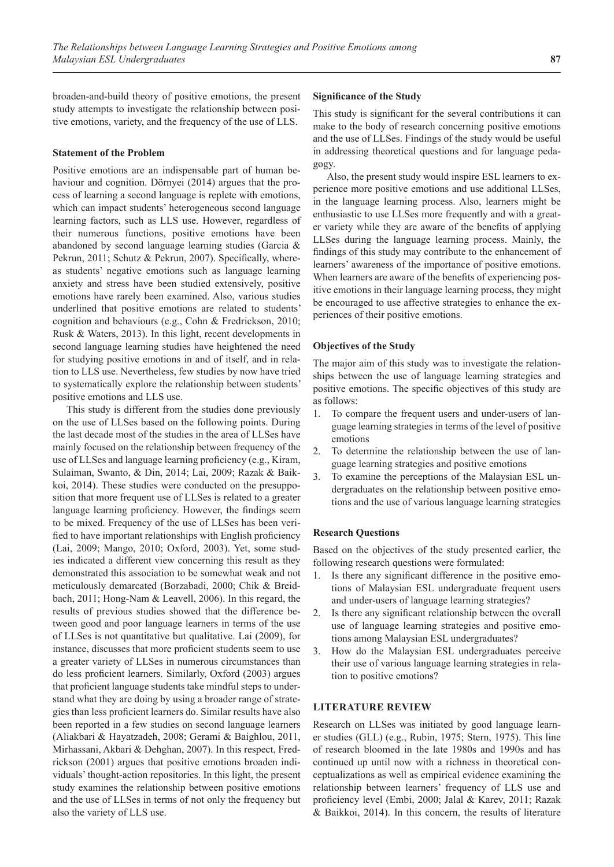broaden-and-build theory of positive emotions, the present study attempts to investigate the relationship between positive emotions, variety, and the frequency of the use of LLS.

#### **Statement of the Problem**

Positive emotions are an indispensable part of human behaviour and cognition. Dörnyei (2014) argues that the process of learning a second language is replete with emotions, which can impact students' heterogeneous second language learning factors, such as LLS use. However, regardless of their numerous functions, positive emotions have been abandoned by second language learning studies (Garcia & Pekrun, 2011; Schutz & Pekrun, 2007). Specifically, whereas students' negative emotions such as language learning anxiety and stress have been studied extensively, positive emotions have rarely been examined. Also, various studies underlined that positive emotions are related to students' cognition and behaviours (e.g., Cohn & Fredrickson, 2010; Rusk & Waters, 2013). In this light, recent developments in second language learning studies have heightened the need for studying positive emotions in and of itself, and in relation to LLS use. Nevertheless, few studies by now have tried to systematically explore the relationship between students' positive emotions and LLS use.

This study is different from the studies done previously on the use of LLSes based on the following points. During the last decade most of the studies in the area of LLSes have mainly focused on the relationship between frequency of the use of LLSes and language learning proficiency (e.g., Kiram, Sulaiman, Swanto, & Din, 2014; Lai, 2009; Razak & Baikkoi, 2014). These studies were conducted on the presupposition that more frequent use of LLSes is related to a greater language learning proficiency. However, the findings seem to be mixed. Frequency of the use of LLSes has been verified to have important relationships with English proficiency (Lai, 2009; Mango, 2010; Oxford, 2003). Yet, some studies indicated a different view concerning this result as they demonstrated this association to be somewhat weak and not meticulously demarcated (Borzabadi, 2000; Chik & Breidbach, 2011; Hong-Nam & Leavell, 2006). In this regard, the results of previous studies showed that the difference between good and poor language learners in terms of the use of LLSes is not quantitative but qualitative. Lai (2009), for instance, discusses that more proficient students seem to use a greater variety of LLSes in numerous circumstances than do less proficient learners. Similarly, Oxford (2003) argues that proficient language students take mindful steps to understand what they are doing by using a broader range of strategies than less proficient learners do. Similar results have also been reported in a few studies on second language learners (Aliakbari & Hayatzadeh, 2008; Gerami & Baighlou, 2011, Mirhassani, Akbari & Dehghan, 2007). In this respect, Fredrickson (2001) argues that positive emotions broaden individuals' thought-action repositories. In this light, the present study examines the relationship between positive emotions and the use of LLSes in terms of not only the frequency but also the variety of LLS use.

### **Significance of the Study**

This study is significant for the several contributions it can make to the body of research concerning positive emotions and the use of LLSes. Findings of the study would be useful in addressing theoretical questions and for language pedagogy.

Also, the present study would inspire ESL learners to experience more positive emotions and use additional LLSes, in the language learning process. Also, learners might be enthusiastic to use LLSes more frequently and with a greater variety while they are aware of the benefits of applying LLSes during the language learning process. Mainly, the findings of this study may contribute to the enhancement of learners' awareness of the importance of positive emotions. When learners are aware of the benefits of experiencing positive emotions in their language learning process, they might be encouraged to use affective strategies to enhance the experiences of their positive emotions.

### **Objectives of the Study**

The major aim of this study was to investigate the relationships between the use of language learning strategies and positive emotions. The specific objectives of this study are as follows:

- 1. To compare the frequent users and under-users of language learning strategies in terms of the level of positive emotions
- 2. To determine the relationship between the use of language learning strategies and positive emotions
- 3. To examine the perceptions of the Malaysian ESL undergraduates on the relationship between positive emotions and the use of various language learning strategies

### **Research Questions**

Based on the objectives of the study presented earlier, the following research questions were formulated:

- 1. Is there any significant difference in the positive emotions of Malaysian ESL undergraduate frequent users and under-users of language learning strategies?
- 2. Is there any significant relationship between the overall use of language learning strategies and positive emotions among Malaysian ESL undergraduates?
- 3. How do the Malaysian ESL undergraduates perceive their use of various language learning strategies in relation to positive emotions?

### **LITERATURE REVIEW**

Research on LLSes was initiated by good language learner studies (GLL) (e.g., Rubin, 1975; Stern, 1975). This line of research bloomed in the late 1980s and 1990s and has continued up until now with a richness in theoretical conceptualizations as well as empirical evidence examining the relationship between learners' frequency of LLS use and proficiency level (Embi, 2000; Jalal & Karev, 2011; Razak & Baikkoi, 2014). In this concern, the results of literature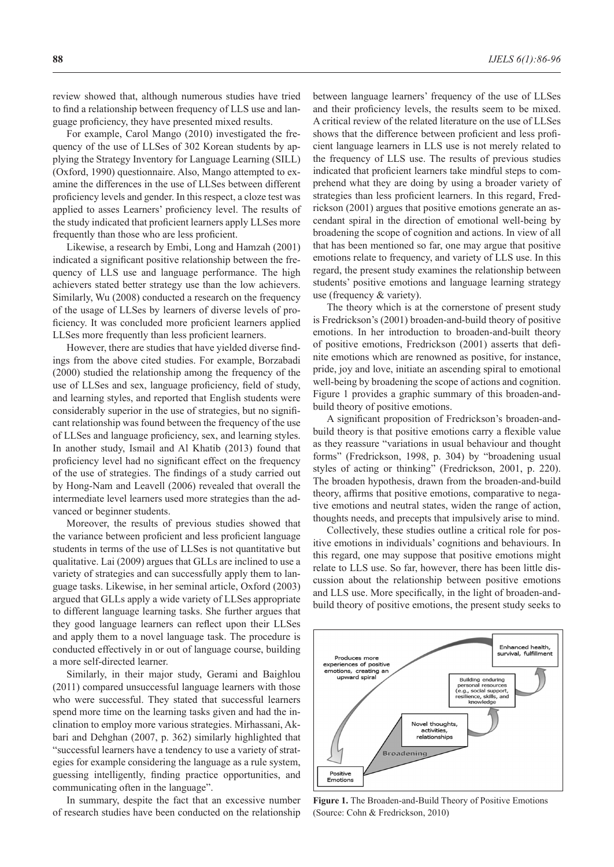review showed that, although numerous studies have tried to find a relationship between frequency of LLS use and language proficiency, they have presented mixed results.

For example, Carol Mango (2010) investigated the frequency of the use of LLSes of 302 Korean students by applying the Strategy Inventory for Language Learning (SILL) (Oxford, 1990) questionnaire. Also, Mango attempted to examine the differences in the use of LLSes between different proficiency levels and gender. In this respect, a cloze test was applied to asses Learners' proficiency level. The results of the study indicated that proficient learners apply LLSes more frequently than those who are less proficient.

Likewise, a research by Embi, Long and Hamzah (2001) indicated a significant positive relationship between the frequency of LLS use and language performance. The high achievers stated better strategy use than the low achievers. Similarly, Wu (2008) conducted a research on the frequency of the usage of LLSes by learners of diverse levels of proficiency. It was concluded more proficient learners applied LLSes more frequently than less proficient learners.

However, there are studies that have yielded diverse findings from the above cited studies. For example, Borzabadi (2000) studied the relationship among the frequency of the use of LLSes and sex, language proficiency, field of study, and learning styles, and reported that English students were considerably superior in the use of strategies, but no significant relationship was found between the frequency of the use of LLSes and language proficiency, sex, and learning styles. In another study, Ismail and Al Khatib (2013) found that proficiency level had no significant effect on the frequency of the use of strategies. The findings of a study carried out by Hong-Nam and Leavell (2006) revealed that overall the intermediate level learners used more strategies than the advanced or beginner students.

Moreover, the results of previous studies showed that the variance between proficient and less proficient language students in terms of the use of LLSes is not quantitative but qualitative. Lai (2009) argues that GLLs are inclined to use a variety of strategies and can successfully apply them to language tasks. Likewise, in her seminal article, Oxford (2003) argued that GLLs apply a wide variety of LLSes appropriate to different language learning tasks. She further argues that they good language learners can reflect upon their LLSes and apply them to a novel language task. The procedure is conducted effectively in or out of language course, building a more self-directed learner.

Similarly, in their major study, Gerami and Baighlou (2011) compared unsuccessful language learners with those who were successful. They stated that successful learners spend more time on the learning tasks given and had the inclination to employ more various strategies. Mirhassani, Akbari and Dehghan (2007, p. 362) similarly highlighted that "successful learners have a tendency to use a variety of strategies for example considering the language as a rule system, guessing intelligently, finding practice opportunities, and communicating often in the language".

In summary, despite the fact that an excessive number of research studies have been conducted on the relationship between language learners' frequency of the use of LLSes and their proficiency levels, the results seem to be mixed. A critical review of the related literature on the use of LLSes shows that the difference between proficient and less proficient language learners in LLS use is not merely related to the frequency of LLS use. The results of previous studies indicated that proficient learners take mindful steps to comprehend what they are doing by using a broader variety of strategies than less proficient learners. In this regard, Fredrickson (2001) argues that positive emotions generate an ascendant spiral in the direction of emotional well-being by broadening the scope of cognition and actions. In view of all that has been mentioned so far, one may argue that positive emotions relate to frequency, and variety of LLS use. In this regard, the present study examines the relationship between students' positive emotions and language learning strategy use (frequency & variety).

The theory which is at the cornerstone of present study is Fredrickson's (2001) broaden-and-build theory of positive emotions. In her introduction to broaden-and-built theory of positive emotions, Fredrickson (2001) asserts that definite emotions which are renowned as positive, for instance, pride, joy and love, initiate an ascending spiral to emotional well-being by broadening the scope of actions and cognition. Figure 1 provides a graphic summary of this broaden-andbuild theory of positive emotions.

A significant proposition of Fredrickson's broaden-andbuild theory is that positive emotions carry a flexible value as they reassure "variations in usual behaviour and thought forms" (Fredrickson, 1998, p. 304) by "broadening usual styles of acting or thinking" (Fredrickson, 2001, p. 220). The broaden hypothesis, drawn from the broaden-and-build theory, affirms that positive emotions, comparative to negative emotions and neutral states, widen the range of action, thoughts needs, and precepts that impulsively arise to mind.

Collectively, these studies outline a critical role for positive emotions in individuals' cognitions and behaviours. In this regard, one may suppose that positive emotions might relate to LLS use. So far, however, there has been little discussion about the relationship between positive emotions and LLS use. More specifically, in the light of broaden-andbuild theory of positive emotions, the present study seeks to



**Figure 1.** The Broaden-and-Build Theory of Positive Emotions (Source: Cohn & Fredrickson, 2010)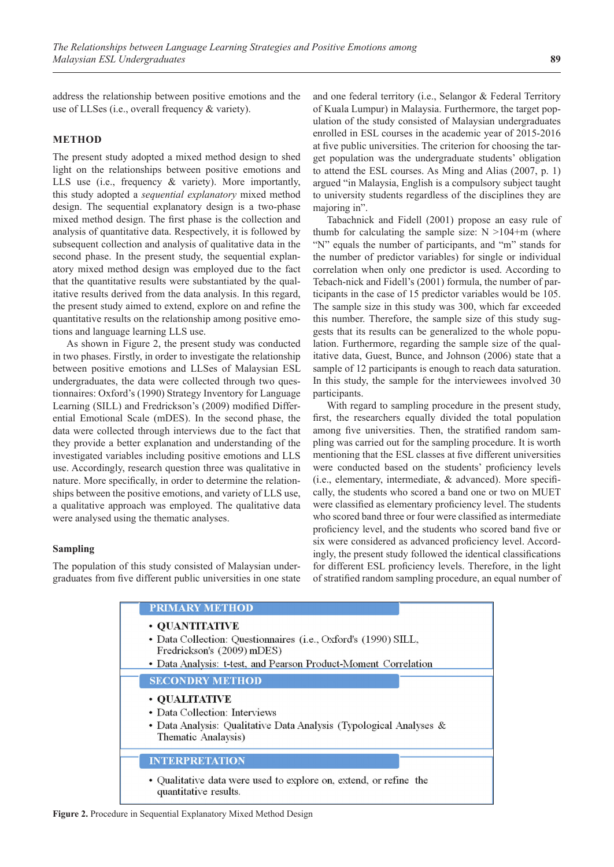address the relationship between positive emotions and the use of LLSes (i.e., overall frequency & variety).

### **METHOD**

The present study adopted a mixed method design to shed light on the relationships between positive emotions and LLS use (i.e., frequency & variety). More importantly, this study adopted a *sequential explanatory* mixed method design. The sequential explanatory design is a two-phase mixed method design. The first phase is the collection and analysis of quantitative data. Respectively, it is followed by subsequent collection and analysis of qualitative data in the second phase. In the present study, the sequential explanatory mixed method design was employed due to the fact that the quantitative results were substantiated by the qualitative results derived from the data analysis. In this regard, the present study aimed to extend, explore on and refine the quantitative results on the relationship among positive emotions and language learning LLS use.

As shown in Figure 2, the present study was conducted in two phases. Firstly, in order to investigate the relationship between positive emotions and LLSes of Malaysian ESL undergraduates, the data were collected through two questionnaires: Oxford's (1990) Strategy Inventory for Language Learning (SILL) and Fredrickson's (2009) modified Differential Emotional Scale (mDES). In the second phase, the data were collected through interviews due to the fact that they provide a better explanation and understanding of the investigated variables including positive emotions and LLS use. Accordingly, research question three was qualitative in nature. More specifically, in order to determine the relationships between the positive emotions, and variety of LLS use, a qualitative approach was employed. The qualitative data were analysed using the thematic analyses.

### **Sampling**

The population of this study consisted of Malaysian undergraduates from five different public universities in one state and one federal territory (i.e., Selangor & Federal Territory of Kuala Lumpur) in Malaysia. Furthermore, the target population of the study consisted of Malaysian undergraduates enrolled in ESL courses in the academic year of 2015-2016 at five public universities. The criterion for choosing the target population was the undergraduate students' obligation to attend the ESL courses. As Ming and Alias (2007, p. 1) argued "in Malaysia, English is a compulsory subject taught to university students regardless of the disciplines they are majoring in".

Tabachnick and Fidell (2001) propose an easy rule of thumb for calculating the sample size:  $N > 104+m$  (where "N" equals the number of participants, and "m" stands for the number of predictor variables) for single or individual correlation when only one predictor is used. According to Tebach-nick and Fidell's (2001) formula, the number of participants in the case of 15 predictor variables would be 105. The sample size in this study was 300, which far exceeded this number. Therefore, the sample size of this study suggests that its results can be generalized to the whole population. Furthermore, regarding the sample size of the qualitative data, Guest, Bunce, and Johnson (2006) state that a sample of 12 participants is enough to reach data saturation. In this study, the sample for the interviewees involved 30 participants.

With regard to sampling procedure in the present study, first, the researchers equally divided the total population among five universities. Then, the stratified random sampling was carried out for the sampling procedure. It is worth mentioning that the ESL classes at five different universities were conducted based on the students' proficiency levels (i.e., elementary, intermediate, & advanced). More specifically, the students who scored a band one or two on MUET were classified as elementary proficiency level. The students who scored band three or four were classified as intermediate proficiency level, and the students who scored band five or six were considered as advanced proficiency level. Accordingly, the present study followed the identical classifications for different ESL proficiency levels. Therefore, in the light of stratified random sampling procedure, an equal number of

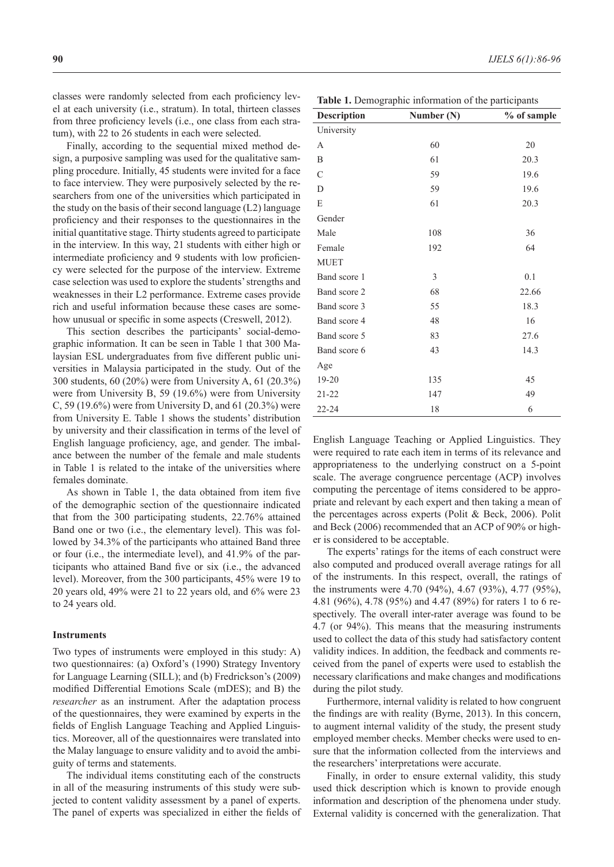classes were randomly selected from each proficiency level at each university (i.e., stratum). In total, thirteen classes from three proficiency levels (i.e., one class from each stratum), with 22 to 26 students in each were selected.

Finally, according to the sequential mixed method design, a purposive sampling was used for the qualitative sampling procedure. Initially, 45 students were invited for a face to face interview. They were purposively selected by the researchers from one of the universities which participated in the study on the basis of their second language (L2) language proficiency and their responses to the questionnaires in the initial quantitative stage. Thirty students agreed to participate in the interview. In this way, 21 students with either high or intermediate proficiency and 9 students with low proficiency were selected for the purpose of the interview. Extreme case selection was used to explore the students' strengths and weaknesses in their L2 performance. Extreme cases provide rich and useful information because these cases are somehow unusual or specific in some aspects (Creswell, 2012).

This section describes the participants' social-demographic information. It can be seen in Table 1 that 300 Malaysian ESL undergraduates from five different public universities in Malaysia participated in the study. Out of the 300 students, 60 (20%) were from University A, 61 (20.3%) were from University B, 59 (19.6%) were from University C, 59 (19.6%) were from University D, and 61 (20.3%) were from University E. Table 1 shows the students' distribution by university and their classification in terms of the level of English language proficiency, age, and gender. The imbalance between the number of the female and male students in Table 1 is related to the intake of the universities where females dominate.

As shown in Table 1, the data obtained from item five of the demographic section of the questionnaire indicated that from the 300 participating students, 22.76% attained Band one or two (i.e., the elementary level). This was followed by 34.3% of the participants who attained Band three or four (i.e., the intermediate level), and 41.9% of the participants who attained Band five or six (i.e., the advanced level). Moreover, from the 300 participants, 45% were 19 to 20 years old, 49% were 21 to 22 years old, and 6% were 23 to 24 years old.

#### **Instruments**

Two types of instruments were employed in this study: A) two questionnaires: (a) Oxford's (1990) Strategy Inventory for Language Learning (SILL); and (b) Fredrickson's (2009) modified Differential Emotions Scale (mDES); and B) the *researcher* as an instrument. After the adaptation process of the questionnaires, they were examined by experts in the fields of English Language Teaching and Applied Linguistics. Moreover, all of the questionnaires were translated into the Malay language to ensure validity and to avoid the ambiguity of terms and statements.

The individual items constituting each of the constructs in all of the measuring instruments of this study were subjected to content validity assessment by a panel of experts. The panel of experts was specialized in either the fields of

**Table 1.** Demographic information of the participants

| <b>Description</b> | Number (N) | % of sample |
|--------------------|------------|-------------|
| University         |            |             |
| A                  | 60         | 20          |
| B                  | 61         | 20.3        |
| $\mathcal{C}$      | 59         | 19.6        |
| D                  | 59         | 19.6        |
| E                  | 61         | 20.3        |
| Gender             |            |             |
| Male               | 108        | 36          |
| Female             | 192        | 64          |
| <b>MUET</b>        |            |             |
| Band score 1       | 3          | 0.1         |
| Band score 2       | 68         | 22.66       |
| Band score 3       | 55         | 18.3        |
| Band score 4       | 48         | 16          |
| Band score 5       | 83         | 27.6        |
| Band score 6       | 43         | 14.3        |
| Age                |            |             |
| 19-20              | 135        | 45          |
| $21 - 22$          | 147        | 49          |
| $22 - 24$          | 18         | 6           |

English Language Teaching or Applied Linguistics. They were required to rate each item in terms of its relevance and appropriateness to the underlying construct on a 5-point scale. The average congruence percentage (ACP) involves computing the percentage of items considered to be appropriate and relevant by each expert and then taking a mean of the percentages across experts (Polit & Beck, 2006). Polit and Beck (2006) recommended that an ACP of 90% or higher is considered to be acceptable.

The experts' ratings for the items of each construct were also computed and produced overall average ratings for all of the instruments. In this respect, overall, the ratings of the instruments were 4.70 (94%), 4.67 (93%), 4.77 (95%), 4.81 (96%), 4.78 (95%) and 4.47 (89%) for raters 1 to 6 respectively. The overall inter-rater average was found to be 4.7 (or 94%). This means that the measuring instruments used to collect the data of this study had satisfactory content validity indices. In addition, the feedback and comments received from the panel of experts were used to establish the necessary clarifications and make changes and modifications during the pilot study.

Furthermore, internal validity is related to how congruent the findings are with reality (Byrne, 2013). In this concern, to augment internal validity of the study, the present study employed member checks. Member checks were used to ensure that the information collected from the interviews and the researchers' interpretations were accurate.

Finally, in order to ensure external validity, this study used thick description which is known to provide enough information and description of the phenomena under study. External validity is concerned with the generalization. That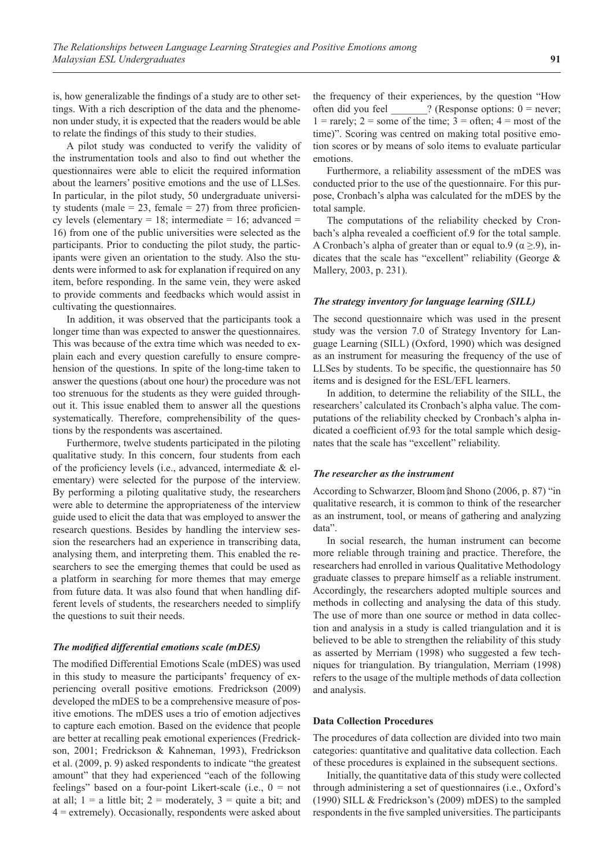is, how generalizable the findings of a study are to other settings. With a rich description of the data and the phenomenon under study, it is expected that the readers would be able to relate the findings of this study to their studies.

A pilot study was conducted to verify the validity of the instrumentation tools and also to find out whether the questionnaires were able to elicit the required information about the learners' positive emotions and the use of LLSes. In particular, in the pilot study, 50 undergraduate university students (male =  $23$ , female =  $27$ ) from three proficiency levels (elementary = 18; intermediate = 16; advanced = 16) from one of the public universities were selected as the participants. Prior to conducting the pilot study, the participants were given an orientation to the study. Also the students were informed to ask for explanation if required on any item, before responding. In the same vein, they were asked to provide comments and feedbacks which would assist in cultivating the questionnaires.

In addition, it was observed that the participants took a longer time than was expected to answer the questionnaires. This was because of the extra time which was needed to explain each and every question carefully to ensure comprehension of the questions. In spite of the long-time taken to answer the questions (about one hour) the procedure was not too strenuous for the students as they were guided throughout it. This issue enabled them to answer all the questions systematically. Therefore, comprehensibility of the questions by the respondents was ascertained.

Furthermore, twelve students participated in the piloting qualitative study. In this concern, four students from each of the proficiency levels (i.e., advanced, intermediate & elementary) were selected for the purpose of the interview. By performing a piloting qualitative study, the researchers were able to determine the appropriateness of the interview guide used to elicit the data that was employed to answer the research questions. Besides by handling the interview session the researchers had an experience in transcribing data, analysing them, and interpreting them. This enabled the researchers to see the emerging themes that could be used as a platform in searching for more themes that may emerge from future data. It was also found that when handling different levels of students, the researchers needed to simplify the questions to suit their needs.

### *The modified differential emotions scale (mDES)*

The modified Differential Emotions Scale (mDES) was used in this study to measure the participants' frequency of experiencing overall positive emotions. Fredrickson (2009) developed the mDES to be a comprehensive measure of positive emotions. The mDES uses a trio of emotion adjectives to capture each emotion. Based on the evidence that people are better at recalling peak emotional experiences (Fredrickson, 2001; Fredrickson & Kahneman, 1993), Fredrickson et al. (2009, p. 9) asked respondents to indicate "the greatest amount" that they had experienced "each of the following feelings" based on a four-point Likert-scale (i.e.,  $0 = not$ at all;  $1 = a$  little bit;  $2 =$  moderately,  $3 =$  quite a bit; and 4 = extremely). Occasionally, respondents were asked about the frequency of their experiences, by the question "How often did you feel  $?$  (Response options:  $0 =$  never;  $1 = \text{rarely}$ ;  $2 = \text{some of the time}$ ;  $3 = \text{often}$ ;  $4 = \text{most of the}}$ time)". Scoring was centred on making total positive emotion scores or by means of solo items to evaluate particular emotions.

Furthermore, a reliability assessment of the mDES was conducted prior to the use of the questionnaire. For this purpose, Cronbach's alpha was calculated for the mDES by the total sample.

The computations of the reliability checked by Cronbach's alpha revealed a coefficient of.9 for the total sample. A Cronbach's alpha of greater than or equal to.9 ( $\alpha \ge 9$ ), indicates that the scale has "excellent" reliability (George & Mallery, 2003, p. 231).

#### *The strategy inventory for language learning (SILL)*

The second questionnaire which was used in the present study was the version 7.0 of Strategy Inventory for Language Learning (SILL) (Oxford, 1990) which was designed as an instrument for measuring the frequency of the use of LLSes by students. To be specific, the questionnaire has 50 items and is designed for the ESL/EFL learners.

In addition, to determine the reliability of the SILL, the researchers' calculated its Cronbach's alpha value. The computations of the reliability checked by Cronbach's alpha indicated a coefficient of.93 for the total sample which designates that the scale has "excellent" reliability.

### *The researcher as the instrument*

According to Schwarzer, Bloom and Shono (2006, p. 87) "in qualitative research, it is common to think of the researcher as an instrument, tool, or means of gathering and analyzing data".

In social research, the human instrument can become more reliable through training and practice. Therefore, the researchers had enrolled in various Qualitative Methodology graduate classes to prepare himself as a reliable instrument. Accordingly, the researchers adopted multiple sources and methods in collecting and analysing the data of this study. The use of more than one source or method in data collection and analysis in a study is called triangulation and it is believed to be able to strengthen the reliability of this study as asserted by Merriam (1998) who suggested a few techniques for triangulation. By triangulation, Merriam (1998) refers to the usage of the multiple methods of data collection and analysis.

#### **Data Collection Procedures**

The procedures of data collection are divided into two main categories: quantitative and qualitative data collection. Each of these procedures is explained in the subsequent sections.

Initially, the quantitative data of this study were collected through administering a set of questionnaires (i.e., Oxford's (1990) SILL & Fredrickson's (2009) mDES) to the sampled respondents in the five sampled universities. The participants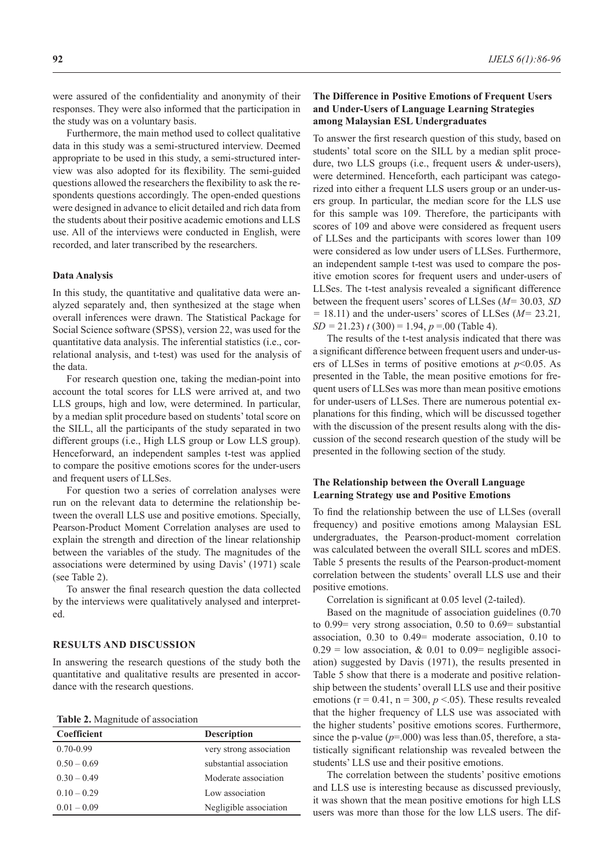were assured of the confidentiality and anonymity of their responses. They were also informed that the participation in the study was on a voluntary basis.

Furthermore, the main method used to collect qualitative data in this study was a semi-structured interview. Deemed appropriate to be used in this study, a semi-structured interview was also adopted for its flexibility. The semi-guided questions allowed the researchers the flexibility to ask the respondents questions accordingly. The open-ended questions were designed in advance to elicit detailed and rich data from the students about their positive academic emotions and LLS use. All of the interviews were conducted in English, were recorded, and later transcribed by the researchers.

### **Data Analysis**

In this study, the quantitative and qualitative data were analyzed separately and, then synthesized at the stage when overall inferences were drawn. The Statistical Package for Social Science software (SPSS), version 22, was used for the quantitative data analysis. The inferential statistics (i.e., correlational analysis, and t-test) was used for the analysis of the data.

For research question one, taking the median-point into account the total scores for LLS were arrived at, and two LLS groups, high and low, were determined. In particular, by a median split procedure based on students' total score on the SILL, all the participants of the study separated in two different groups (i.e., High LLS group or Low LLS group). Henceforward, an independent samples t-test was applied to compare the positive emotions scores for the under-users and frequent users of LLSes.

For question two a series of correlation analyses were run on the relevant data to determine the relationship between the overall LLS use and positive emotions. Specially, Pearson-Product Moment Correlation analyses are used to explain the strength and direction of the linear relationship between the variables of the study. The magnitudes of the associations were determined by using Davis' (1971) scale (see Table 2).

To answer the final research question the data collected by the interviews were qualitatively analysed and interpreted.

#### **RESULTS AND DISCUSSION**

In answering the research questions of the study both the quantitative and qualitative results are presented in accordance with the research questions.

**Table 2.** Magnitude of association

| <b>Coefficient</b> | <b>Description</b>      |
|--------------------|-------------------------|
| $0.70 - 0.99$      | very strong association |
| $0.50 - 0.69$      | substantial association |
| $0.30 - 0.49$      | Moderate association    |
| $0.10 - 0.29$      | Low association         |
| $0.01 - 0.09$      | Negligible association  |

# **The Difference in Positive Emotions of Frequent Users and Under-Users of Language Learning Strategies among Malaysian ESL Undergraduates**

To answer the first research question of this study, based on students' total score on the SILL by a median split procedure, two LLS groups (i.e., frequent users & under-users), were determined. Henceforth, each participant was categorized into either a frequent LLS users group or an under-users group. In particular, the median score for the LLS use for this sample was 109. Therefore, the participants with scores of 109 and above were considered as frequent users of LLSes and the participants with scores lower than 109 were considered as low under users of LLSes. Furthermore, an independent sample t-test was used to compare the positive emotion scores for frequent users and under-users of LLSes. The t-test analysis revealed a significant difference between the frequent users' scores of LLSes (*M=* 30.03*, SD =* 18.11) and the under-users' scores of LLSes (*M=* 23.21*, SD =* 21.23) *t* (300) = 1.94, *p* =.00 (Table 4).

The results of the t-test analysis indicated that there was a significant difference between frequent users and under-users of LLSes in terms of positive emotions at *p*<0.05. As presented in the Table, the mean positive emotions for frequent users of LLSes was more than mean positive emotions for under-users of LLSes. There are numerous potential explanations for this finding, which will be discussed together with the discussion of the present results along with the discussion of the second research question of the study will be presented in the following section of the study.

# **The Relationship between the Overall Language Learning Strategy use and Positive Emotions**

To find the relationship between the use of LLSes (overall frequency) and positive emotions among Malaysian ESL undergraduates, the Pearson-product-moment correlation was calculated between the overall SILL scores and mDES. Table 5 presents the results of the Pearson-product-moment correlation between the students' overall LLS use and their positive emotions.

Correlation is significant at 0.05 level (2-tailed).

Based on the magnitude of association guidelines (0.70 to 0.99= very strong association, 0.50 to 0.69= substantial association, 0.30 to 0.49= moderate association, 0.10 to  $0.29$  = low association, & 0.01 to 0.09 = negligible association) suggested by Davis (1971), the results presented in Table 5 show that there is a moderate and positive relationship between the students' overall LLS use and their positive emotions ( $r = 0.41$ ,  $n = 300$ ,  $p < 0.05$ ). These results revealed that the higher frequency of LLS use was associated with the higher students' positive emotions scores. Furthermore, since the p-value  $(p=000)$  was less than.05, therefore, a statistically significant relationship was revealed between the students' LLS use and their positive emotions.

The correlation between the students' positive emotions and LLS use is interesting because as discussed previously, it was shown that the mean positive emotions for high LLS users was more than those for the low LLS users. The dif-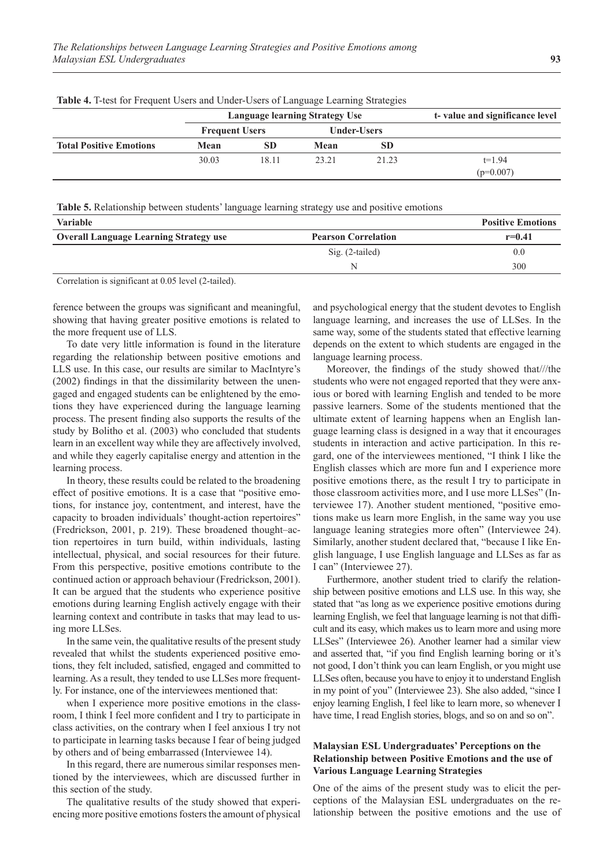| THOIC II I toot for Frequent Obero and Onder Obero of Early and Bearing Strategies |                       |                                |                                |       |             |  |  |  |
|------------------------------------------------------------------------------------|-----------------------|--------------------------------|--------------------------------|-------|-------------|--|--|--|
|                                                                                    |                       | Language learning Strategy Use | t-value and significance level |       |             |  |  |  |
|                                                                                    | <b>Frequent Users</b> |                                | <b>Under-Users</b>             |       |             |  |  |  |
| <b>Total Positive Emotions</b>                                                     | Mean                  | SD                             | Mean                           | SD.   |             |  |  |  |
|                                                                                    | 30.03                 | 18.11                          | 23.21                          | 21.23 | $t=1.94$    |  |  |  |
|                                                                                    |                       |                                |                                |       | $(p=0.007)$ |  |  |  |

**Table 4.** T-test for Frequent Users and Under-Users of Language Learning Strategies

**Table 5.** Relationship between students' language learning strategy use and positive emotions

| <b>Variable</b>                                                                                                       |                 | <b>Positive Emotions</b> |
|-----------------------------------------------------------------------------------------------------------------------|-----------------|--------------------------|
| <b>Overall Language Learning Strategy use</b><br><b>Pearson Correlation</b>                                           |                 | $r = 0.41$               |
|                                                                                                                       | Sig. (2-tailed) | 0.0                      |
|                                                                                                                       | N               | 300                      |
| <b>CONTRACT AND STRUCTURE AND ARRANGEMENT AND ACCOUNT AND ACCOUNT AND ACCOUNT AND ACCOUNT AND ACCOUNT AND ACCOUNT</b> |                 |                          |

Correlation is significant at 0.05 level (2‑tailed).

ference between the groups was significant and meaningful, showing that having greater positive emotions is related to the more frequent use of LLS.

To date very little information is found in the literature regarding the relationship between positive emotions and LLS use. In this case, our results are similar to MacIntyre's (2002) findings in that the dissimilarity between the unengaged and engaged students can be enlightened by the emotions they have experienced during the language learning process. The present finding also supports the results of the study by Bolitho et al. (2003) who concluded that students learn in an excellent way while they are affectively involved, and while they eagerly capitalise energy and attention in the learning process.

In theory, these results could be related to the broadening effect of positive emotions. It is a case that "positive emotions, for instance joy, contentment, and interest, have the capacity to broaden individuals' thought-action repertoires" (Fredrickson, 2001, p. 219). These broadened thought–action repertoires in turn build, within individuals, lasting intellectual, physical, and social resources for their future. From this perspective, positive emotions contribute to the continued action or approach behaviour (Fredrickson, 2001). It can be argued that the students who experience positive emotions during learning English actively engage with their learning context and contribute in tasks that may lead to using more LLSes.

In the same vein, the qualitative results of the present study revealed that whilst the students experienced positive emotions, they felt included, satisfied, engaged and committed to learning. As a result, they tended to use LLSes more frequently. For instance, one of the interviewees mentioned that:

when I experience more positive emotions in the classroom, I think I feel more confident and I try to participate in class activities, on the contrary when I feel anxious I try not to participate in learning tasks because I fear of being judged by others and of being embarrassed (Interviewee 14).

In this regard, there are numerous similar responses mentioned by the interviewees, which are discussed further in this section of the study.

The qualitative results of the study showed that experiencing more positive emotions fosters the amount of physical and psychological energy that the student devotes to English language learning, and increases the use of LLSes. In the same way, some of the students stated that effective learning depends on the extent to which students are engaged in the language learning process.

Moreover, the findings of the study showed that///the students who were not engaged reported that they were anxious or bored with learning English and tended to be more passive learners. Some of the students mentioned that the ultimate extent of learning happens when an English language learning class is designed in a way that it encourages students in interaction and active participation. In this regard, one of the interviewees mentioned, "I think I like the English classes which are more fun and I experience more positive emotions there, as the result I try to participate in those classroom activities more, and I use more LLSes" (Interviewee 17). Another student mentioned, "positive emotions make us learn more English, in the same way you use language leaning strategies more often" (Interviewee 24). Similarly, another student declared that, "because I like English language, I use English language and LLSes as far as I can" (Interviewee 27).

Furthermore, another student tried to clarify the relationship between positive emotions and LLS use. In this way, she stated that "as long as we experience positive emotions during learning English, we feel that language learning is not that difficult and its easy, which makes us to learn more and using more LLSes" (Interviewee 26). Another learner had a similar view and asserted that, "if you find English learning boring or it's not good, I don't think you can learn English, or you might use LLSes often, because you have to enjoy it to understand English in my point of you" (Interviewee 23). She also added, "since I enjoy learning English, I feel like to learn more, so whenever I have time, I read English stories, blogs, and so on and so on".

# **Malaysian ESL Undergraduates' Perceptions on the Relationship between Positive Emotions and the use of Various Language Learning Strategies**

One of the aims of the present study was to elicit the perceptions of the Malaysian ESL undergraduates on the relationship between the positive emotions and the use of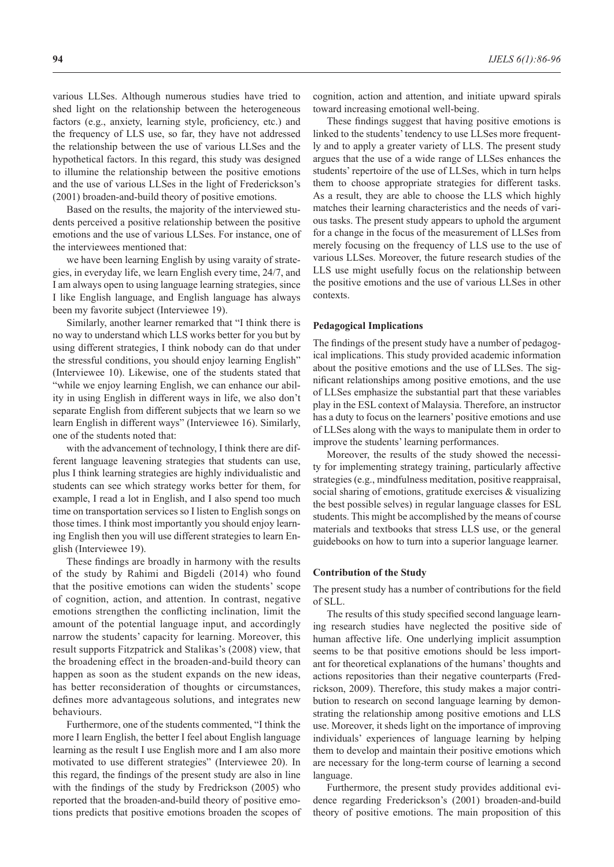various LLSes. Although numerous studies have tried to shed light on the relationship between the heterogeneous factors (e.g., anxiety, learning style, proficiency, etc.) and the frequency of LLS use, so far, they have not addressed the relationship between the use of various LLSes and the hypothetical factors. In this regard, this study was designed to illumine the relationship between the positive emotions and the use of various LLSes in the light of Frederickson's (2001) broaden-and-build theory of positive emotions.

Based on the results, the majority of the interviewed students perceived a positive relationship between the positive emotions and the use of various LLSes. For instance, one of the interviewees mentioned that:

we have been learning English by using varaity of strategies, in everyday life, we learn English every time, 24/7, and I am always open to using language learning strategies, since I like English language, and English language has always been my favorite subject (Interviewee 19).

Similarly, another learner remarked that "I think there is no way to understand which LLS works better for you but by using different strategies, I think nobody can do that under the stressful conditions, you should enjoy learning English" (Interviewee 10). Likewise, one of the students stated that "while we enjoy learning English, we can enhance our ability in using English in different ways in life, we also don't separate English from different subjects that we learn so we learn English in different ways" (Interviewee 16). Similarly, one of the students noted that:

with the advancement of technology, I think there are different language leavening strategies that students can use, plus I think learning strategies are highly individualistic and students can see which strategy works better for them, for example, I read a lot in English, and I also spend too much time on transportation services so I listen to English songs on those times. I think most importantly you should enjoy learning English then you will use different strategies to learn English (Interviewee 19).

These findings are broadly in harmony with the results of the study by Rahimi and Bigdeli (2014) who found that the positive emotions can widen the students' scope of cognition, action, and attention. In contrast, negative emotions strengthen the conflicting inclination, limit the amount of the potential language input, and accordingly narrow the students' capacity for learning. Moreover, this result supports Fitzpatrick and Stalikas's (2008) view, that the broadening effect in the broaden-and-build theory can happen as soon as the student expands on the new ideas, has better reconsideration of thoughts or circumstances, defines more advantageous solutions, and integrates new behaviours.

Furthermore, one of the students commented, "I think the more I learn English, the better I feel about English language learning as the result I use English more and I am also more motivated to use different strategies" (Interviewee 20). In this regard, the findings of the present study are also in line with the findings of the study by Fredrickson (2005) who reported that the broaden-and-build theory of positive emotions predicts that positive emotions broaden the scopes of cognition, action and attention, and initiate upward spirals toward increasing emotional well-being.

These findings suggest that having positive emotions is linked to the students' tendency to use LLSes more frequently and to apply a greater variety of LLS. The present study argues that the use of a wide range of LLSes enhances the students' repertoire of the use of LLSes, which in turn helps them to choose appropriate strategies for different tasks. As a result, they are able to choose the LLS which highly matches their learning characteristics and the needs of various tasks. The present study appears to uphold the argument for a change in the focus of the measurement of LLSes from merely focusing on the frequency of LLS use to the use of various LLSes. Moreover, the future research studies of the LLS use might usefully focus on the relationship between the positive emotions and the use of various LLSes in other contexts.

#### **Pedagogical Implications**

The findings of the present study have a number of pedagogical implications. This study provided academic information about the positive emotions and the use of LLSes. The significant relationships among positive emotions, and the use of LLSes emphasize the substantial part that these variables play in the ESL context of Malaysia. Therefore, an instructor has a duty to focus on the learners' positive emotions and use of LLSes along with the ways to manipulate them in order to improve the students' learning performances.

Moreover, the results of the study showed the necessity for implementing strategy training, particularly affective strategies (e.g., mindfulness meditation, positive reappraisal, social sharing of emotions, gratitude exercises & visualizing the best possible selves) in regular language classes for ESL students. This might be accomplished by the means of course materials and textbooks that stress LLS use, or the general guidebooks on how to turn into a superior language learner.

#### **Contribution of the Study**

The present study has a number of contributions for the field of SLL.

The results of this study specified second language learning research studies have neglected the positive side of human affective life. One underlying implicit assumption seems to be that positive emotions should be less important for theoretical explanations of the humans' thoughts and actions repositories than their negative counterparts (Fredrickson, 2009). Therefore, this study makes a major contribution to research on second language learning by demonstrating the relationship among positive emotions and LLS use. Moreover, it sheds light on the importance of improving individuals' experiences of language learning by helping them to develop and maintain their positive emotions which are necessary for the long-term course of learning a second language.

Furthermore, the present study provides additional evidence regarding Frederickson's (2001) broaden-and-build theory of positive emotions. The main proposition of this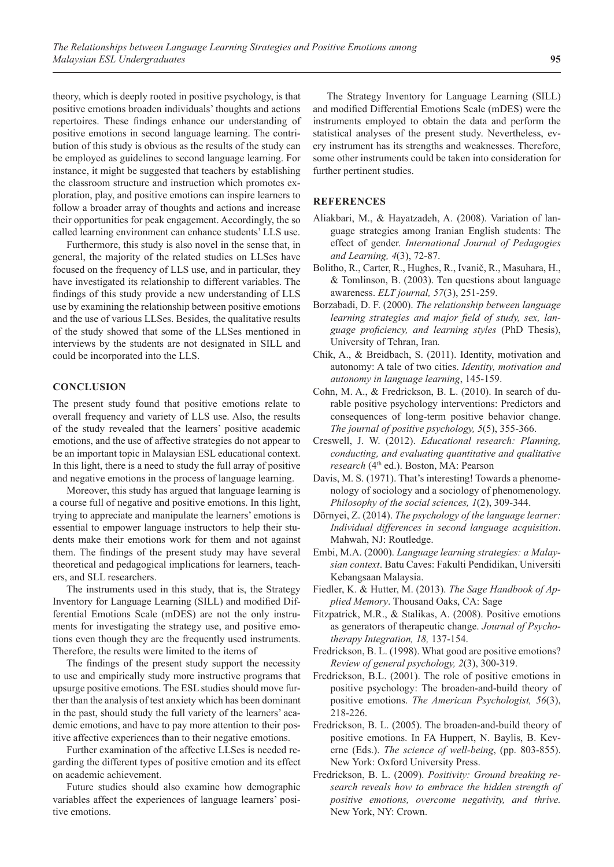theory, which is deeply rooted in positive psychology, is that positive emotions broaden individuals' thoughts and actions repertoires. These findings enhance our understanding of positive emotions in second language learning. The contribution of this study is obvious as the results of the study can be employed as guidelines to second language learning. For instance, it might be suggested that teachers by establishing the classroom structure and instruction which promotes exploration, play, and positive emotions can inspire learners to follow a broader array of thoughts and actions and increase their opportunities for peak engagement. Accordingly, the so called learning environment can enhance students' LLS use.

Furthermore, this study is also novel in the sense that, in general, the majority of the related studies on LLSes have focused on the frequency of LLS use, and in particular, they have investigated its relationship to different variables. The findings of this study provide a new understanding of LLS use by examining the relationship between positive emotions and the use of various LLSes. Besides, the qualitative results of the study showed that some of the LLSes mentioned in interviews by the students are not designated in SILL and could be incorporated into the LLS.

# **CONCLUSION**

The present study found that positive emotions relate to overall frequency and variety of LLS use. Also, the results of the study revealed that the learners' positive academic emotions, and the use of affective strategies do not appear to be an important topic in Malaysian ESL educational context. In this light, there is a need to study the full array of positive and negative emotions in the process of language learning.

Moreover, this study has argued that language learning is a course full of negative and positive emotions. In this light, trying to appreciate and manipulate the learners' emotions is essential to empower language instructors to help their students make their emotions work for them and not against them. The findings of the present study may have several theoretical and pedagogical implications for learners, teachers, and SLL researchers.

The instruments used in this study, that is, the Strategy Inventory for Language Learning (SILL) and modified Differential Emotions Scale (mDES) are not the only instruments for investigating the strategy use, and positive emotions even though they are the frequently used instruments. Therefore, the results were limited to the items of

The findings of the present study support the necessity to use and empirically study more instructive programs that upsurge positive emotions. The ESL studies should move further than the analysis of test anxiety which has been dominant in the past, should study the full variety of the learners' academic emotions, and have to pay more attention to their positive affective experiences than to their negative emotions.

Further examination of the affective LLSes is needed regarding the different types of positive emotion and its effect on academic achievement.

Future studies should also examine how demographic variables affect the experiences of language learners' positive emotions.

The Strategy Inventory for Language Learning (SILL) and modified Differential Emotions Scale (mDES) were the instruments employed to obtain the data and perform the statistical analyses of the present study. Nevertheless, every instrument has its strengths and weaknesses. Therefore, some other instruments could be taken into consideration for further pertinent studies.

#### **REFERENCES**

- Aliakbari, M., & Hayatzadeh, A. (2008). Variation of language strategies among Iranian English students: The effect of gender. *International Journal of Pedagogies and Learning, 4*(3), 72-87.
- Bolitho, R., Carter, R., Hughes, R., Ivanič, R., Masuhara, H., & Tomlinson, B. (2003). Ten questions about language awareness. *ELT journal, 57*(3), 251-259.
- Borzabadi, D. F. (2000). *The relationship between language learning strategies and major field of study, sex, language proficiency, and learning styles* (PhD Thesis), University of Tehran, Iran*.*
- Chik, A., & Breidbach, S. (2011). Identity, motivation and autonomy: A tale of two cities. *Identity, motivation and autonomy in language learning*, 145-159.
- Cohn, M. A., & Fredrickson, B. L. (2010). In search of durable positive psychology interventions: Predictors and consequences of long-term positive behavior change. *The journal of positive psychology, 5*(5), 355-366.
- Creswell, J. W. (2012). *Educational research: Planning, conducting, and evaluating quantitative and qualitative research* (4th ed.). Boston, MA: Pearson
- Davis, M. S. (1971). That's interesting! Towards a phenomenology of sociology and a sociology of phenomenology. *Philosophy of the social sciences, 1*(2), 309-344.
- Dörnyei, Z. (2014). *The psychology of the language learner: Individual differences in second language acquisition*. Mahwah, NJ: Routledge.
- Embi, M.A. (2000). *Language learning strategies: a Malaysian context*. Batu Caves: Fakulti Pendidikan, Universiti Kebangsaan Malaysia.
- Fiedler, K. & Hutter, M. (2013). *The Sage Handbook of Applied Memory*. Thousand Oaks, CA: Sage
- Fitzpatrick, M.R., & Stalikas, A. (2008). Positive emotions as generators of therapeutic change. *Journal of Psychotherapy Integration, 18,* 137-154.
- Fredrickson, B. L. (1998). What good are positive emotions? *Review of general psychology, 2*(3), 300-319.
- Fredrickson, B.L. (2001). The role of positive emotions in positive psychology: The broaden-and-build theory of positive emotions. *The American Psychologist, 56*(3), 218-226.
- Fredrickson, B. L. (2005). The broaden-and-build theory of positive emotions. In FA Huppert, N. Baylis, B. Keverne (Eds.). *The science of well-being*, (pp. 803-855). New York: Oxford University Press.
- Fredrickson, B. L. (2009). *Positivity: Ground breaking research reveals how to embrace the hidden strength of positive emotions, overcome negativity, and thrive.* New York, NY: Crown.